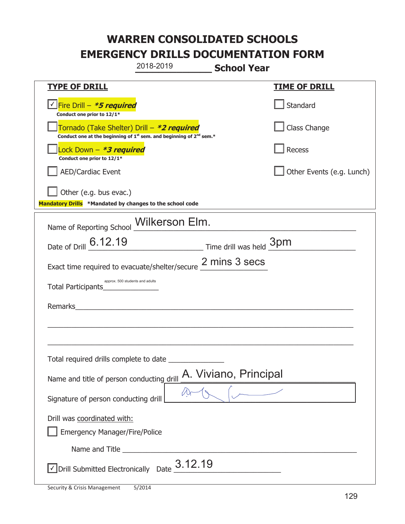|                                                                        | 2018-2019                                                                                                                                 | <b>School Year</b>        |  |
|------------------------------------------------------------------------|-------------------------------------------------------------------------------------------------------------------------------------------|---------------------------|--|
| <b>TYPE OF DRILL</b>                                                   |                                                                                                                                           | <b>TIME OF DRILL</b>      |  |
| <u>√ Fire Drill – <i>*5 required</i></u><br>Conduct one prior to 12/1* |                                                                                                                                           | Standard                  |  |
|                                                                        | Tornado (Take Shelter) Drill – *2 required<br>Conduct one at the beginning of 1 <sup>st</sup> sem. and beginning of 2 <sup>nd</sup> sem.* | Class Change              |  |
| Lock Down - <b>*3 required</b><br>Conduct one prior to 12/1*           |                                                                                                                                           | Recess                    |  |
| <b>AED/Cardiac Event</b>                                               |                                                                                                                                           | Other Events (e.g. Lunch) |  |
| Other (e.g. bus evac.)                                                 |                                                                                                                                           |                           |  |
| Mandatory Drills *Mandated by changes to the school code               |                                                                                                                                           |                           |  |
| Name of Reporting School __ Wilkerson Elm.                             |                                                                                                                                           |                           |  |
| Date of Drill 6.12.19                                                  |                                                                                                                                           | Time drill was held 3pm   |  |
| Exact time required to evacuate/shelter/secure 2 mins 3 secs           |                                                                                                                                           |                           |  |
| Total Participants                                                     | approx. 500 students and adults                                                                                                           |                           |  |
| Remarks                                                                |                                                                                                                                           |                           |  |
|                                                                        |                                                                                                                                           |                           |  |
|                                                                        |                                                                                                                                           |                           |  |
| Total required drills complete to date                                 |                                                                                                                                           |                           |  |
| Name and title of person conducting drill                              |                                                                                                                                           | A. Viviano, Principal     |  |
| Signature of person conducting drill                                   |                                                                                                                                           |                           |  |
| Drill was coordinated with:                                            |                                                                                                                                           |                           |  |
| <b>Emergency Manager/Fire/Police</b>                                   |                                                                                                                                           |                           |  |
|                                                                        |                                                                                                                                           |                           |  |
|                                                                        | $\sqrt{2}$ Drill Submitted Electronically Date $3.12.19$                                                                                  |                           |  |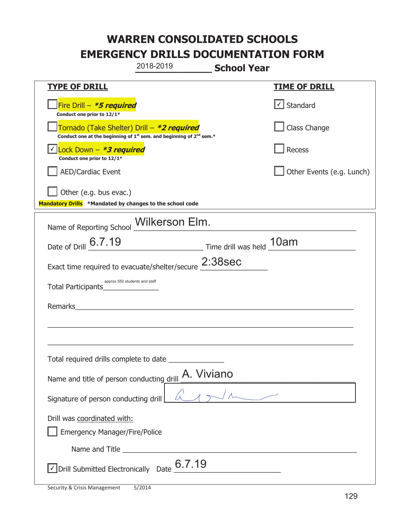|                                                                                    | 2018-2019                                                               | <b>School Year</b> |                           |
|------------------------------------------------------------------------------------|-------------------------------------------------------------------------|--------------------|---------------------------|
| <u>TYPE OF DRILL</u>                                                               |                                                                         |                    | <b>TIME OF DRILL</b>      |
| Fire Drill - *5 required<br>Conduct one prior to 12/1*                             |                                                                         |                    | √ Standard                |
| Tornado (Take Shelter) Drill – *2 required                                         | Conduct one at the beginning of $1st$ sem. and beginning of $2nd$ sem.* |                    | Class Change              |
| Lock Down - *3 required<br>Conduct one prior to 12/1*                              |                                                                         |                    | Recess                    |
| <b>AED/Cardiac Event</b>                                                           |                                                                         |                    | Other Events (e.g. Lunch) |
| Other (e.g. bus evac.)<br>Mandatory Drills *Mandated by changes to the school code |                                                                         |                    |                           |
|                                                                                    |                                                                         |                    |                           |
| Name of Reporting School <b>Wilkerson Elm.</b>                                     |                                                                         |                    |                           |
| Date of Drill 6.7.19                                                               | Time drill was held 10am                                                |                    |                           |
| Exact time required to evacuate/shelter/secure 2:38sec                             |                                                                         |                    |                           |
| approx 550 students and staff<br>Total Participants                                |                                                                         |                    |                           |
| Remarks                                                                            |                                                                         |                    |                           |
|                                                                                    |                                                                         |                    |                           |
|                                                                                    |                                                                         |                    |                           |
| Total required drills complete to date                                             |                                                                         |                    |                           |
| Name and title of person conducting drill A. Viviano                               |                                                                         |                    |                           |
| Signature of person conducting drill                                               |                                                                         |                    |                           |
| Drill was coordinated with:                                                        |                                                                         |                    |                           |
| <b>Emergency Manager/Fire/Police</b>                                               |                                                                         |                    |                           |
|                                                                                    |                                                                         |                    |                           |
| √ Drill Submitted Electronically Date                                              | 6.7.19                                                                  |                    |                           |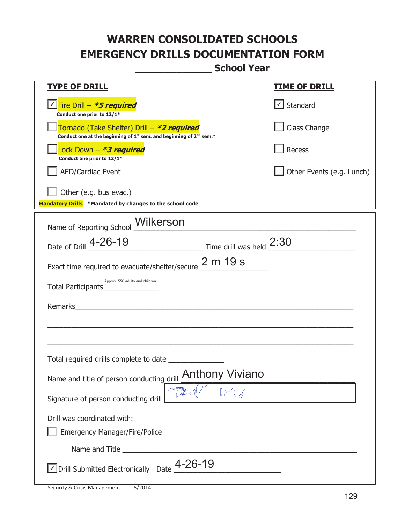**\_\_\_\_\_\_\_\_\_\_\_\_\_ School Year** 

| <b>TYPE OF DRILL</b>                                                                                                                      | <u>TIME OF DRILL</u>              |
|-------------------------------------------------------------------------------------------------------------------------------------------|-----------------------------------|
| V Fire Drill - *5 required<br>Conduct one prior to 12/1*                                                                                  | $\lfloor \angle \rfloor$ Standard |
| Tornado (Take Shelter) Drill – *2 required<br>Conduct one at the beginning of 1 <sup>st</sup> sem. and beginning of 2 <sup>nd</sup> sem.* | Class Change                      |
| Lock Down - *3 required<br>Conduct one prior to 12/1*                                                                                     | Recess                            |
| <b>AED/Cardiac Event</b>                                                                                                                  | Other Events (e.g. Lunch)         |
| Other (e.g. bus evac.)<br>Mandatory Drills *Mandated by changes to the school code                                                        |                                   |
| Name of Reporting School Milkerson                                                                                                        |                                   |
| Date of Drill 4-26-19 Time drill was held 2:30                                                                                            |                                   |
| Exact time required to evacuate/shelter/secure $\frac{2 \text{ m}}{2}$ 19 S                                                               |                                   |
| Approx. 550 adults and children                                                                                                           |                                   |
|                                                                                                                                           |                                   |
|                                                                                                                                           |                                   |
|                                                                                                                                           |                                   |
|                                                                                                                                           |                                   |
| <b>Anthony Viviano</b><br>Name and title of person conducting drill                                                                       |                                   |
| Signature of person conducting drill                                                                                                      |                                   |
| Drill was coordinated with:                                                                                                               |                                   |
| <b>Emergency Manager/Fire/Police</b>                                                                                                      |                                   |
|                                                                                                                                           |                                   |
| $\sqrt{\phantom{a}}$ Drill Submitted Electronically Date $\frac{\sqrt{4}}{2}$ -26-19                                                      |                                   |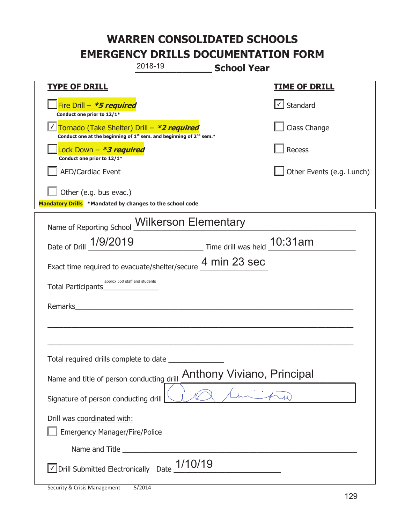|                                                                                    | 2018-19                                                                                     | <b>School Year</b>          |                           |
|------------------------------------------------------------------------------------|---------------------------------------------------------------------------------------------|-----------------------------|---------------------------|
| <b>TYPE OF DRILL</b>                                                               |                                                                                             |                             | <u>TIME OF DRILL</u>      |
| Fire Drill - *5 required<br>Conduct one prior to 12/1*                             |                                                                                             |                             | √ Standard                |
| Tornado (Take Shelter) Drill – *2 required                                         | Conduct one at the beginning of 1 <sup>st</sup> sem. and beginning of 2 <sup>nd</sup> sem.* |                             | Class Change              |
| Lock Down - *3 required<br>Conduct one prior to 12/1*                              |                                                                                             |                             | Recess                    |
| <b>AED/Cardiac Event</b>                                                           |                                                                                             |                             | Other Events (e.g. Lunch) |
| Other (e.g. bus evac.)<br>Mandatory Drills *Mandated by changes to the school code |                                                                                             |                             |                           |
| Name of Reporting School <b>Wilkerson Elementary</b>                               |                                                                                             |                             |                           |
| Date of Drill 1/9/2019                                                             |                                                                                             | Time drill was held 10:31am |                           |
| Exact time required to evacuate/shelter/secure 4 min 23 sec                        |                                                                                             |                             |                           |
| approx 550 staff and students<br>Total Participants                                |                                                                                             |                             |                           |
| Remarks                                                                            |                                                                                             |                             |                           |
|                                                                                    |                                                                                             |                             |                           |
| Total required drills complete to date                                             |                                                                                             |                             |                           |
| Name and title of person conducting drill                                          |                                                                                             | Anthony Viviano, Principal  |                           |
| Signature of person conducting drill                                               |                                                                                             |                             |                           |
| Drill was coordinated with:<br><b>Emergency Manager/Fire/Police</b>                |                                                                                             |                             |                           |
|                                                                                    |                                                                                             |                             |                           |
| Drill Submitted Electronically Date                                                | 1/10/19                                                                                     |                             |                           |

t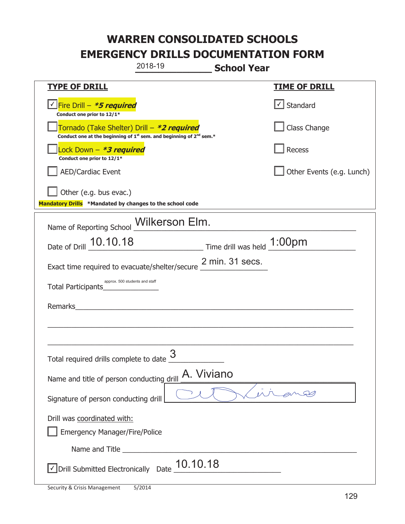|                                                                                    | 2018-19                                                                                     | <b>School Year</b> |                           |
|------------------------------------------------------------------------------------|---------------------------------------------------------------------------------------------|--------------------|---------------------------|
| <b>TYPE OF DRILL</b>                                                               |                                                                                             |                    | <b>TIME OF DRILL</b>      |
| <u>√ Fire Drill – <i>*5 required</i></u><br>Conduct one prior to 12/1*             |                                                                                             |                    | √ Standard                |
| Tornado (Take Shelter) Drill – *2 required                                         | Conduct one at the beginning of 1 <sup>st</sup> sem. and beginning of 2 <sup>nd</sup> sem.* |                    | Class Change              |
| ock Down – <b>*<i>3 required</i></b><br>Conduct one prior to 12/1*                 |                                                                                             |                    | <b>Recess</b>             |
| <b>AED/Cardiac Event</b>                                                           |                                                                                             |                    | Other Events (e.g. Lunch) |
| Other (e.g. bus evac.)<br>Mandatory Drills *Mandated by changes to the school code |                                                                                             |                    |                           |
|                                                                                    |                                                                                             |                    |                           |
| Name of Reporting School Wilkerson Elm.                                            |                                                                                             |                    |                           |
| Date of Drill 10.10.18 Time drill was held 1:00pm                                  |                                                                                             |                    |                           |
| Exact time required to evacuate/shelter/secure $\frac{2 \text{ min. 31 secs.}}{}$  |                                                                                             |                    |                           |
| approx. 500 students and staff<br>Total Participants                               |                                                                                             |                    |                           |
| Remarks                                                                            | <u> 1980 - John Stein, Amerikaansk politiker (</u>                                          |                    |                           |
|                                                                                    |                                                                                             |                    |                           |
|                                                                                    |                                                                                             |                    |                           |
| Total required drills complete to date $\frac{9}{2}$                               | 3                                                                                           |                    |                           |
| Name and title of person conducting drill                                          | A. Viviano                                                                                  |                    |                           |
| Signature of person conducting drill                                               |                                                                                             |                    |                           |
| Drill was coordinated with:                                                        |                                                                                             |                    |                           |
| <b>Emergency Manager/Fire/Police</b>                                               |                                                                                             |                    |                           |
| Name and Title                                                                     |                                                                                             |                    |                           |
| √ Drill Submitted Electronically                                                   | 10.10.18<br>Date                                                                            |                    |                           |